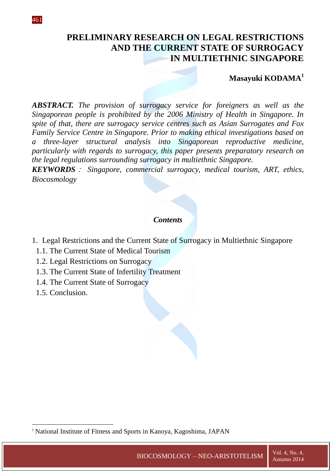# **PRELIMINARY RESEARCH ON LEGAL RESTRICTIONS AND THE CURRENT STATE OF SURROGACY IN MULTIETHNIC SINGAPORE**

## **Masayuki KODAMA<sup>1</sup>**

*ABSTRACT. The provision of surrogacy service for foreigners as well as the Singaporean people is prohibited by the 2006 Ministry of Health in Singapore. In spite of that, there are surrogacy service centres such as Asian Surrogates and Fox Family Service Centre in Singapore. Prior to making ethical investigations based on a three-layer structural analysis into Singaporean reproductive medicine, particularly with regards to surrogacy, this paper presents preparatory research on the legal regulations surrounding surrogacy in multiethnic Singapore.*

*KEYWORDS*: *Singapore, commercial surrogacy, medical tourism, ART, ethics, Biocosmology*

### *Contents*

- 1. Legal Restrictions and the Current State of Surrogacy in Multiethnic Singapore
	- 1.1. The Current State of Medical Tourism
	- 1.2. Legal Restrictions on Surrogacy
	- 1.3. The Current State of Infertility Treatment
	- 1.4. The Current State of Surrogacy
	- 1.5. Conclusion.

1

<sup>&</sup>lt;sup>1</sup> National Institute of Fitness and Sports in Kanoya, Kagoshima, JAPAN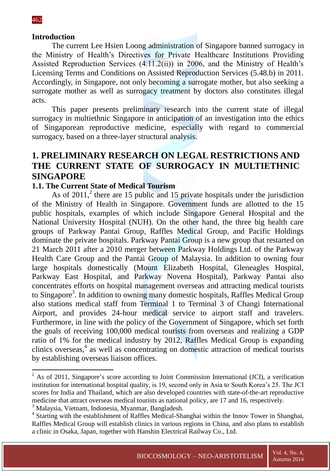1

#### **Introduction**

The current Lee Hsien Loong administration of Singapore banned surrogacy in the Ministry of Health's Directives for Private Healthcare Institutions Providing Assisted Reproduction Services (4.11.2(ii)) in 2006, and the Ministry of Health's Licensing Terms and Conditions on Assisted Reproduction Services (5.48.b) in 2011. Accordingly, in Singapore, not only becoming a surrogate mother, but also seeking a surrogate mother as well as surrogacy treatment by doctors also constitutes illegal acts.

This paper presents preliminary research into the current state of illegal surrogacy in multiethnic Singapore in anticipation of an investigation into the ethics of Singaporean reproductive medicine, especially with regard to commercial surrogacy, based on a three-layer structural analysis.

# **1. PRELIMINARY RESEARCH ON LEGAL RESTRICTIONS AND THE CURRENT STATE OF SURROGACY IN MULTIETHNIC SINGAPORE**

#### **1.1. The Current State of Medical Tourism**

As of 2011,<sup>2</sup> there are 15 public and 15 private hospitals under the jurisdiction of the Ministry of Health in Singapore. Government funds are allotted to the 15 public hospitals, examples of which include Singapore General Hospital and the National University Hospital (NUH). On the other hand, the three big health care groups of Parkway Pantai Group, Raffles Medical Group, and Pacific Holdings dominate the private hospitals. Parkway Pantai Group is a new group that restarted on 21 March 2011 after a 2010 merger between Parkway Holdings Ltd. of the Parkway Health Care Group and the Pantai Group of Malaysia. In addition to owning four large hospitals domestically (Mount Elizabeth Hospital, Gleneagles Hospital, Parkway East Hospital, and Parkway Novena Hospital), Parkway Pantai also concentrates efforts on hospital management overseas and attracting medical tourists to Singapore<sup>3</sup>. In addition to owning many domestic hospitals, Raffles Medical Group also stations medical staff from Terminal 1 to Terminal 3 of Changi International Airport, and provides 24-hour medical service to airport staff and travelers. Furthermore, in line with the policy of the Government of Singapore, which set forth the goals of receiving 100,000 medical tourists from overseas and realizing a GDP ratio of 1% for the medical industry by 2012, Raffles Medical Group is expanding clinics overseas,<sup>4</sup> as well as concentrating on domestic attraction of medical tourists by establishing overseas liaison offices.

 $2$  As of 2011, Singapore's score according to Joint Commission International (JCI), a verification institution for international hospital quality, is 19, second only in Asia to South Korea's 25. The JCI scores for India and Thailand, which are also developed countries with state-of-the-art reproductive medicine that attract overseas medical tourists as national policy, are 17 and 16, respectively.

<sup>3</sup> Malaysia, Vietnam, Indonesia, Myanmar, Bangladesh.

<sup>&</sup>lt;sup>4</sup> Starting with the establishment of Raffles Medical-Shanghai within the Innov Tower in Shanghai, Raffles Medical Group will establish clinics in various regions in China, and also plans to establish a clinic in Osaka, Japan, together with Hanshin Electrical Railway Co., Ltd.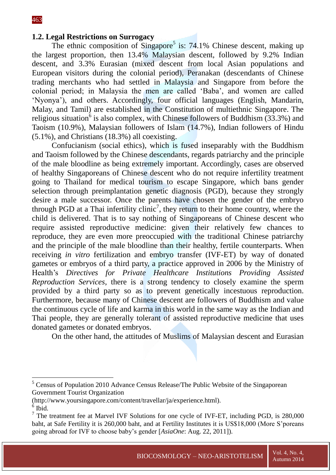#### **1.2. Legal Restrictions on Surrogacy**

The ethnic composition of Singapore<sup>5</sup> is:  $74.1\%$  Chinese descent, making up the largest proportion, then 13.4% Malaysian descent, followed by 9.2% Indian descent, and 3.3% Eurasian (mixed descent from local Asian populations and European visitors during the colonial period), Peranakan (descendants of Chinese trading merchants who had settled in Malaysia and Singapore from before the colonial period; in Malaysia the men are called 'Baba', and women are called 'Nyonya'), and others. Accordingly, four official languages (English, Mandarin, Malay, and Tamil) are established in the Constitution of multiethnic Singapore. The religious situation<sup>6</sup> is also complex, with Chinese followers of Buddhism  $(33.3%)$  and Taoism (10.9%), Malaysian followers of Islam (14.7%), Indian followers of Hindu (5.1%), and Christians (18.3%) all coexisting.

Confucianism (social ethics), which is fused inseparably with the Buddhism and Taoism followed by the Chinese descendants, regards patriarchy and the principle of the male bloodline as being extremely important. Accordingly, cases are observed of healthy Singaporeans of Chinese descent who do not require infertility treatment going to Thailand for medical tourism to escape Singapore, which bans gender selection through preimplantation genetic diagnosis (PGD), because they strongly desire a male successor. Once the parents have chosen the gender of the embryo through PGD at a Thai infertility clinic<sup>7</sup>, they return to their home country, where the child is delivered. That is to say nothing of Singaporeans of Chinese descent who require assisted reproductive medicine: given their relatively few chances to reproduce, they are even more preoccupied with the traditional Chinese patriarchy and the principle of the male bloodline than their healthy, fertile counterparts. When receiving *in vitro* fertilization and embryo transfer (IVF-ET) by way of donated gametes or embryos of a third party, a practice approved in 2006 by the Ministry of Health's *Directives for Private Healthcare Institutions Providing Assisted Reproduction Services*, there is a strong tendency to closely examine the sperm provided by a third party so as to prevent genetically incestuous reproduction. Furthermore, because many of Chinese descent are followers of Buddhism and value the continuous cycle of life and karma in this world in the same way as the Indian and Thai people, they are generally tolerant of assisted reproductive medicine that uses donated gametes or donated embryos.

On the other hand, the attitudes of Muslims of Malaysian descent and Eurasian

- (http://www.yoursingapore.com/content/travellar/ja/experience.html).
- $6$  Ibid.

1

<sup>&</sup>lt;sup>5</sup> Census of Population 2010 Advance Census Release/The Public Website of the Singaporean Government Tourist Organization

 $7$  The treatment fee at Marvel IVF Solutions for one cycle of IVF-ET, including PGD, is 280,000 baht, at Safe Fertility it is 260,000 baht, and at Fertility Institutes it is US\$18,000 (More S'poreans going abroad for IVF to choose baby's gender [*AsiaOne*: Aug. 22, 2011]).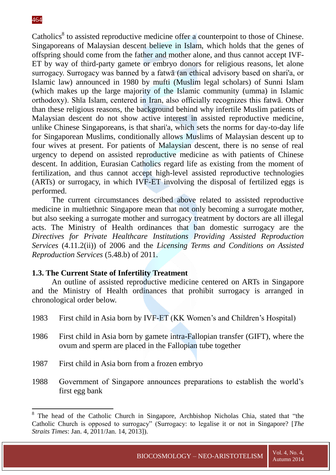Catholics<sup>8</sup> to assisted reproductive medicine offer a counterpoint to those of Chinese. Singaporeans of Malaysian descent believe in Islam, which holds that the genes of offspring should come from the father and mother alone, and thus cannot accept IVF-ET by way of third-party gamete or embryo donors for religious reasons, let alone surrogacy. Surrogacy was banned by a fatwā (an ethical advisory based on shari'a, or Islamic law) announced in 1980 by mufti (Muslim legal scholars) of Sunni Islam (which makes up the large majority of the Islamic community (umma) in Islamic orthodoxy). Shīa Islam, centered in Iran, also officially recognizes this fatwā. Other than these religious reasons, the background behind why infertile Muslim patients of Malaysian descent do not show active interest in assisted reproductive medicine, unlike Chinese Singaporeans, is that shari'a, which sets the norms for day-to-day life for Singaporean Muslims, conditionally allows Muslims of Malaysian descent up to four wives at present. For patients of Malaysian descent, there is no sense of real urgency to depend on assisted reproductive medicine as with patients of Chinese descent. In addition, Eurasian Catholics regard life as existing from the moment of fertilization, and thus cannot accept high-level assisted reproductive technologies (ARTs) or surrogacy, in which IVF-ET involving the disposal of fertilized eggs is performed.

The current circumstances described above related to assisted reproductive medicine in multiethnic Singapore mean that not only becoming a surrogate mother, but also seeking a surrogate mother and surrogacy treatment by doctors are all illegal acts. The Ministry of Health ordinances that ban domestic surrogacy are the *Directives for Private Healthcare Institutions Providing Assisted Reproduction Services* (4.11.2(ii)) of 2006 and the *Licensing Terms and Conditions on Assisted Reproduction Services* (5.48.b) of 2011.

#### **1.3. The Current State of Infertility Treatment**

An outline of assisted reproductive medicine centered on ARTs in Singapore and the Ministry of Health ordinances that prohibit surrogacy is arranged in chronological order below.

- 1983 First child in Asia born by IVF-ET (KK Women's and Children's Hospital)
- 1986 First child in Asia born by gamete intra-Fallopian transfer (GIFT), where the ovum and sperm are placed in the Fallopian tube together
- 1987 First child in Asia born from a frozen embryo
- 1988 Government of Singapore announces preparations to establish the world's first egg bank

<sup>&</sup>lt;sup>8</sup> The head of the Catholic Church in Singapore, Archbishop Nicholas Chia, stated that "the Catholic Church is opposed to surrogacy" (Surrogacy: to legalise it or not in Singapore? [*The Straits Times*: Jan. 4, 2011/Jan. 14, 2013]).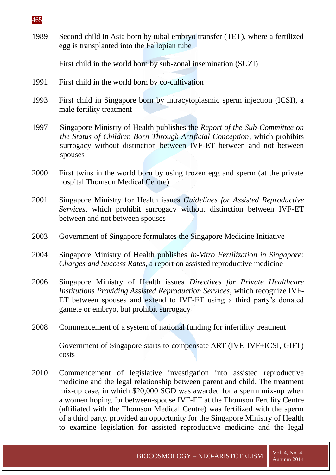

1989 Second child in Asia born by tubal embryo transfer (TET), where a fertilized egg is transplanted into the Fallopian tube

First child in the world born by sub-zonal insemination (SUZI)

- 1991 First child in the world born by co-cultivation
- 1993 First child in Singapore born by intracytoplasmic sperm injection (ICSI), a male fertility treatment
- 1997 Singapore Ministry of Health publishes the *Report of the Sub-Committee on the Status of Children Born Through Artificial Conception*, which prohibits surrogacy without distinction between IVF-ET between and not between spouses
- 2000 First twins in the world born by using frozen egg and sperm (at the private hospital Thomson Medical Centre)
- 2001 Singapore Ministry for Health issues *Guidelines for Assisted Reproductive Services*, which prohibit surrogacy without distinction between IVF-ET between and not between spouses
- 2003 Government of Singapore formulates the Singapore Medicine Initiative
- 2004 Singapore Ministry of Health publishes *In-Vitro Fertilization in Singapore: Charges and Success Rates*, a report on assisted reproductive medicine
- 2006 Singapore Ministry of Health issues *Directives for Private Healthcare Institutions Providing Assisted Reproduction Services*, which recognize IVF-ET between spouses and extend to IVF-ET using a third party's donated gamete or embryo, but prohibit surrogacy
- 2008 Commencement of a system of national funding for infertility treatment

Government of Singapore starts to compensate ART (IVF, IVF+ICSI, GIFT) costs

2010 Commencement of legislative investigation into assisted reproductive medicine and the legal relationship between parent and child. The treatment mix-up case, in which \$20,000 SGD was awarded for a sperm mix-up when a women hoping for between-spouse IVF-ET at the Thomson Fertility Centre (affiliated with the Thomson Medical Centre) was fertilized with the sperm of a third party, provided an opportunity for the Singapore Ministry of Health to examine legislation for assisted reproductive medicine and the legal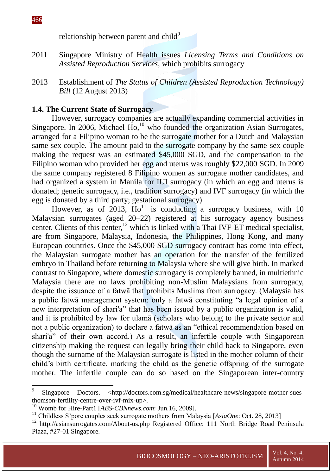1

relationship between parent and child<sup>9</sup>

- 2011 Singapore Ministry of Health issues *Licensing Terms and Conditions on Assisted Reproduction Services*, which prohibits surrogacy
- 2013 Establishment of *The Status of Children (Assisted Reproduction Technology) Bill* (12 August 2013)

#### **1.4. The Current State of Surrogacy**

However, surrogacy companies are actually expanding commercial activities in Singapore. In 2006, Michael Ho, $^{10}$  who founded the organization Asian Surrogates, arranged for a Filipino woman to be the surrogate mother for a Dutch and Malaysian same-sex couple. The amount paid to the surrogate company by the same-sex couple making the request was an estimated \$45,000 SGD, and the compensation to the Filipino woman who provided her egg and uterus was roughly \$22,000 SGD. In 2009 the same company registered 8 Filipino women as surrogate mother candidates, and had organized a system in Manila for IUI surrogacy (in which an egg and uterus is donated; genetic surrogacy, i.e., tradition surrogacy) and IVF surrogacy (in which the egg is donated by a third party; gestational surrogacy).

However, as of 2013,  $\text{Ho}^{11}$  is conducting a surrogacy business, with 10 Malaysian surrogates (aged 20–22) registered at his surrogacy agency business center. Clients of this center, $12$  which is linked with a Thai IVF-ET medical specialist, are from Singapore, Malaysia, Indonesia, the Philippines, Hong Kong, and many European countries. Once the \$45,000 SGD surrogacy contract has come into effect, the Malaysian surrogate mother has an operation for the transfer of the fertilized embryo in Thailand before returning to Malaysia where she will give birth. In marked contrast to Singapore, where domestic surrogacy is completely banned, in multiethnic Malaysia there are no laws prohibiting non-Muslim Malaysians from surrogacy, despite the issuance of a fatwā that prohibits Muslims from surrogacy. (Malaysia has a public fatwā management system: only a fatwā constituting "a legal opinion of a new interpretation of shari'a" that has been issued by a public organization is valid, and it is prohibited by law for ulamā (scholars who belong to the private sector and not a public organization) to declare a fatwā as an "ethical recommendation based on shari'a" of their own accord.) As a result, an infertile couple with Singaporean citizenship making the request can legally bring their child back to Singapore, even though the surname of the Malaysian surrogate is listed in the mother column of their child's birth certificate, marking the child as the genetic offspring of the surrogate mother. The infertile couple can do so based on the Singaporean inter-country

<sup>9</sup> Singapore Doctors. <http://doctors.com.sg/medical/healthcare-news/singapore-mother-suesthomson-fertility-centre-over-ivf-mix-up>.

<sup>10</sup> Womb for Hire-Part1 [*ABS-CBNnews.com*: Jun.16, 2009].

<sup>&</sup>lt;sup>11</sup> Childless S'pore couples seek surrogate mothers from Malaysia [AsiaOne: Oct. 28, 2013]

<sup>&</sup>lt;sup>12</sup> http://asiansurrogates.com/About-us.php Registered Office: 111 North Bridge Road Peninsula Plaza, #27-01 Singapore.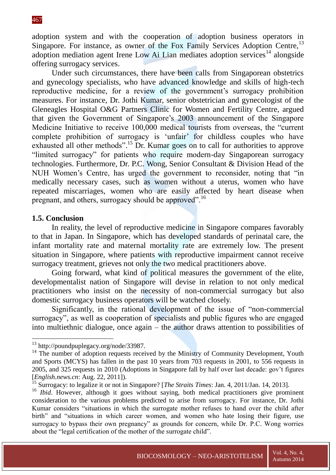adoption system and with the cooperation of adoption business operators in Singapore. For instance, as owner of the Fox Family Services Adoption Centre,<sup>13</sup> adoption mediation agent Irene Low Ai Lian mediates adoption services<sup>14</sup> alongside offering surrogacy services.

Under such circumstances, there have been calls from Singaporean obstetrics and gynecology specialists, who have advanced knowledge and skills of high-tech reproductive medicine, for a review of the government's surrogacy prohibition measures. For instance, Dr. Jothi Kumar, senior obstetrician and gynecologist of the Gleneagles Hospital O&G Partners Clinic for Women and Fertility Centre, argued that given the Government of Singapore's 2003 announcement of the Singapore Medicine Initiative to receive 100,000 medical tourists from overseas, the "current complete prohibition of surrogacy is 'unfair' for childless couples who have exhausted all other methods".<sup>15</sup> Dr. Kumar goes on to call for authorities to approve "limited surrogacy" for patients who require modern-day Singaporean surrogacy technologies. Furthermore, Dr. P.C. Wong, Senior Consultant & Division Head of the NUH Women's Centre, has urged the government to reconsider, noting that "in medically necessary cases, such as women without a uterus, women who have repeated miscarriages, women who are easily affected by heart disease when pregnant, and others, surrogacy should be approved".<sup>16</sup>

#### **1.5. Conclusion**

1

In reality, the level of reproductive medicine in Singapore compares favorably to that in Japan. In Singapore, which has developed standards of perinatal care, the infant mortality rate and maternal mortality rate are extremely low. The present situation in Singapore, where patients with reproductive impairment cannot receive surrogacy treatment, grieves not only the two medical practitioners above.

Going forward, what kind of political measures the government of the elite, developmentalist nation of Singapore will devise in relation to not only medical practitioners who insist on the necessity of non-commercial surrogacy but also domestic surrogacy business operators will be watched closely.

Significantly, in the rational development of the issue of "non-commercial surrogacy", as well as cooperation of specialists and public figures who are engaged into multiethnic dialogue, once again – the author draws attention to possibilities of

<sup>13</sup> http://poundpuplegacy.org/node/33987.

 $14$  The number of adoption requests received by the Ministry of Community Development, Youth and Sports (MCYS) has fallen in the past 10 years from 703 requests in 2001, to 556 requests in 2005, and 325 requests in 2010 (Adoptions in Singapore fall by half over last decade: gov't figures [*English.news.cn*: Aug. 22, 2011]).

<sup>15</sup> Surrogacy: to legalize it or not in Singapore? [*The Straits Times*: Jan. 4, 2011/Jan. 14, 2013].

<sup>&</sup>lt;sup>16</sup> *Ibid*. However, although it goes without saying, both medical practitioners give prominent consideration to the various problems predicted to arise from surrogacy. For instance, Dr. Jothi Kumar considers "situations in which the surrogate mother refuses to hand over the child after birth" and "situations in which career women, and women who hate losing their figure, use surrogacy to bypass their own pregnancy" as grounds for concern, while Dr. P.C. Wong worries about the "legal certification of the mother of the surrogate child".